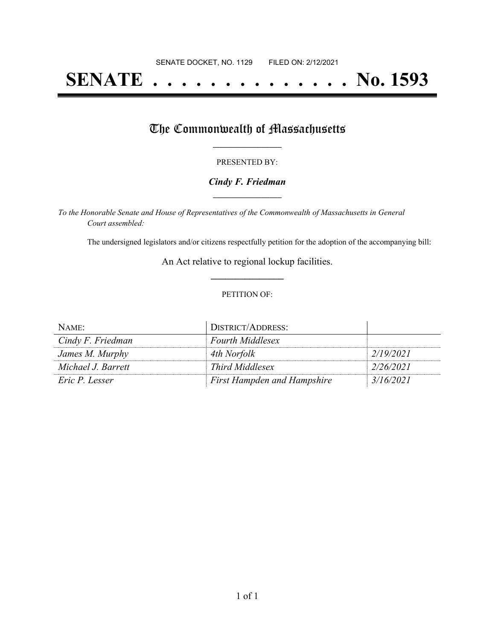# **SENATE . . . . . . . . . . . . . . No. 1593**

## The Commonwealth of Massachusetts

#### PRESENTED BY:

#### *Cindy F. Friedman* **\_\_\_\_\_\_\_\_\_\_\_\_\_\_\_\_\_**

*To the Honorable Senate and House of Representatives of the Commonwealth of Massachusetts in General Court assembled:*

The undersigned legislators and/or citizens respectfully petition for the adoption of the accompanying bill:

An Act relative to regional lockup facilities. **\_\_\_\_\_\_\_\_\_\_\_\_\_\_\_**

#### PETITION OF:

| NAME:              | DISTRICT/ADDRESS:                  |           |
|--------------------|------------------------------------|-----------|
| Cindy F. Friedman  | <b>Fourth Middlesex</b>            |           |
| James M. Murphy    | 4th Norfolk                        | 2/19/2021 |
| Michael J. Barrett | Third Middlesex                    | 2/26/2021 |
| Eric P. Lesser     | <b>First Hampden and Hampshire</b> | 3/16/2021 |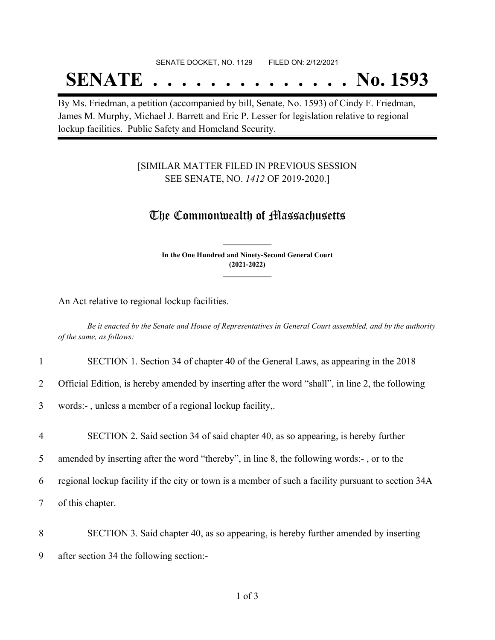#### SENATE DOCKET, NO. 1129 FILED ON: 2/12/2021

# **SENATE . . . . . . . . . . . . . . No. 1593**

By Ms. Friedman, a petition (accompanied by bill, Senate, No. 1593) of Cindy F. Friedman, James M. Murphy, Michael J. Barrett and Eric P. Lesser for legislation relative to regional lockup facilities. Public Safety and Homeland Security.

### [SIMILAR MATTER FILED IN PREVIOUS SESSION SEE SENATE, NO. *1412* OF 2019-2020.]

### The Commonwealth of Massachusetts

**In the One Hundred and Ninety-Second General Court (2021-2022) \_\_\_\_\_\_\_\_\_\_\_\_\_\_\_**

**\_\_\_\_\_\_\_\_\_\_\_\_\_\_\_**

An Act relative to regional lockup facilities.

Be it enacted by the Senate and House of Representatives in General Court assembled, and by the authority *of the same, as follows:*

#### 1 SECTION 1. Section 34 of chapter 40 of the General Laws, as appearing in the 2018

2 Official Edition, is hereby amended by inserting after the word "shall", in line 2, the following

3 words:- , unless a member of a regional lockup facility,.

4 SECTION 2. Said section 34 of said chapter 40, as so appearing, is hereby further

5 amended by inserting after the word "thereby", in line 8, the following words:- , or to the

6 regional lockup facility if the city or town is a member of such a facility pursuant to section 34A

7 of this chapter.

8 SECTION 3. Said chapter 40, as so appearing, is hereby further amended by inserting

9 after section 34 the following section:-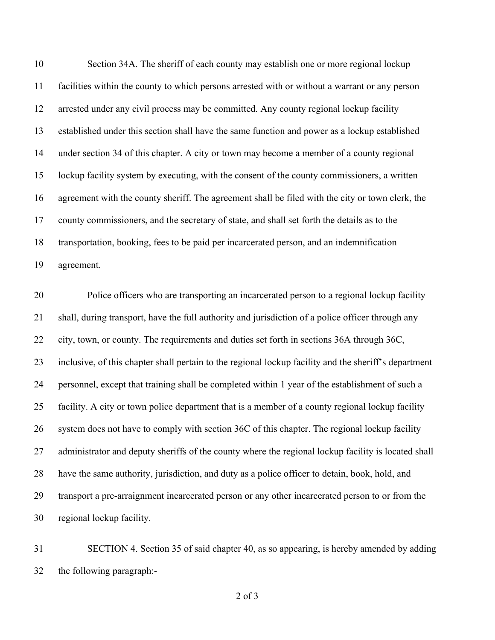Section 34A. The sheriff of each county may establish one or more regional lockup facilities within the county to which persons arrested with or without a warrant or any person arrested under any civil process may be committed. Any county regional lockup facility established under this section shall have the same function and power as a lockup established under section 34 of this chapter. A city or town may become a member of a county regional lockup facility system by executing, with the consent of the county commissioners, a written agreement with the county sheriff. The agreement shall be filed with the city or town clerk, the county commissioners, and the secretary of state, and shall set forth the details as to the transportation, booking, fees to be paid per incarcerated person, and an indemnification agreement.

 Police officers who are transporting an incarcerated person to a regional lockup facility shall, during transport, have the full authority and jurisdiction of a police officer through any city, town, or county. The requirements and duties set forth in sections 36A through 36C, inclusive, of this chapter shall pertain to the regional lockup facility and the sheriff's department personnel, except that training shall be completed within 1 year of the establishment of such a facility. A city or town police department that is a member of a county regional lockup facility system does not have to comply with section 36C of this chapter. The regional lockup facility administrator and deputy sheriffs of the county where the regional lockup facility is located shall have the same authority, jurisdiction, and duty as a police officer to detain, book, hold, and transport a pre-arraignment incarcerated person or any other incarcerated person to or from the regional lockup facility.

 SECTION 4. Section 35 of said chapter 40, as so appearing, is hereby amended by adding the following paragraph:-

of 3